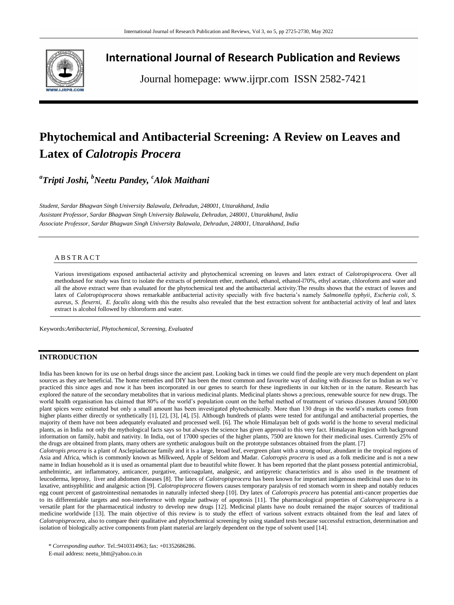

## **International Journal of Research Publication and Reviews**

Journal homepage: www.ijrpr.com ISSN 2582-7421

# **Phytochemical and Antibacterial Screening: A Review on Leaves and Latex of** *Calotropis Procera*

*a Tripti Joshi, <sup>b</sup>Neetu Pandey, <sup>c</sup>Alok Maithani*

*Student, Sardar Bhagwan Singh University Balawala, Dehradun, 248001, Uttarakhand, India Assistant Professor, Sardar Bhagwan Singh University Balawala, Dehradun, 248001, Uttarakhand, India Associate Professor, Sardar Bhagwan Singh University Balawala, Dehradun, 248001, Uttarakhand, India*

## A B S T R A C T

Various investigations exposed antibacterial activity and phytochemical screening on leaves and latex extract of *Calotropisprocera.* Over all methodused for study was first to isolate the extracts of petroleum ether, methanol, ethanol, ethanol-l70%, ethyl acetate, chloroform and water and all the above extract were than evaluated for the phytochemical test and the antibacterial activity.The results shows that the extract of leaves and latex of *Calotropisprocera* shows remarkable antibacterial activity specially with five bacteria's namely *Salmonella typhyii, Escheria coli, S. aureus, S. flexerni, E. facalis* along with this the results also revealed that the best extraction solvent for antibacterial activity of leaf and latex extract is alcohol followed by chloroform and water.

Keywords:*Antibacterial, Phytochemical, Screening, Evaluated*

## **INTRODUCTION**

India has been known for its use on herbal drugs since the ancient past. Looking back in times we could find the people are very much dependent on plant sources as they are beneficial. The home remedies and DIY has been the most common and favourite way of dealing with diseases for us Indian as we've practiced this since ages and now it has been incorporated in our genes to search for these ingredients in our kitchen or in the nature. Research has explored the nature of the secondary metabolites that in various medicinal plants. Medicinal plants shows a precious, renewable source for new drugs. The world health organisation has claimed that 80% of the world's population count on the herbal method of treatment of various diseases Around 500,000 plant spices were estimated but only a small amount has been investigated phytochemically. More than 130 drugs in the world's markets comes from higher plants either directly or synthetically [1], [2], [3], [4], [5]. Although hundreds of plants were tested for antifungal and antibacterial properties, the majority of them have not been adequately evaluated and processed well. [6]. The whole Himalayan belt of gods world is the home to several medicinal plants, as in India not only the mythological facts says so but always the science has given approval to this very fact. Himalayan Region with background information on family, habit and nativity. In India, out of 17000 species of the higher plants, 7500 are known for their medicinal uses. Currently 25% of the drugs are obtained from plants, many others are synthetic analogous built on the prototype substances obtained from the plant. [7]

*Calotropis procera* is a plant of Asclepiadaceae family and it is a large, broad leaf, evergreen plant with a strong odour, abundant in the tropical regions of Asia and Africa, which is commonly known as Milkweed, Apple of Seldom and Madar. *Calotropis procera* is used as a folk medicine and is not a new name in Indian household as it is used as ornamental plant due to beautiful white flower. It has been reported that the plant possess potential antimicrobial, anthelmintic, ant inflammatory, anticancer, purgative, anticoagulant, analgesic, and antipyretic characteristics and is also used in the treatment of leucoderma, leprosy, liver and abdomen diseases [8]. The latex of *Calotropisprocera* has been known for important indigenous medicinal uses due to its laxative, antisyphilitic and analgesic action [9]. *Calotropisprocera* flowers causes temporary paralysis of red stomach worm in sheep and notably reduces egg count percent of gastrointestinal nematodes in naturally infected sheep [10]. Dry latex of *Calotropis procera* has potential anti-cancer properties due to its differentiable targets and non-interference with regular pathway of apoptosis [11]. The pharmacological properties of *Calotropisprocera* is a versatile plant for the pharmaceutical industry to develop new drugs [12]. Medicinal plants have no doubt remained the major sources of traditional medicine worldwide [13]. The main objective of this review is to study the effect of various solvent extracts obtained from the leaf and latex of *Calotropisprocera*, also to compare their qualitative and phytochemical screening by using standard tests because successful extraction, determination and isolation of biologically active components from plant material are largely dependent on the type of solvent used [14].

\* *Corresponding author.* Tel.:9410314963; fax: +01352686286.

E-mail address: neetu\_bhtt@yahoo.co.in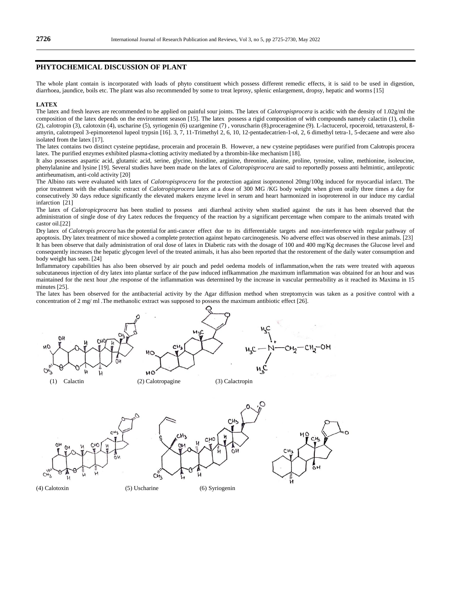#### **PHYTOCHEMICAL DISCUSSION OF PLANT**

The whole plant contain is incorporated with loads of phyto constituent which possess different remedic effects, it is said to be used in digestion, diarrhoea, jaundice, boils etc. The plant was also recommended by some to treat leprosy, splenic enlargement, dropsy, hepatic and worms [15]

#### **LATEX**

The latex and fresh leaves are recommended to be applied on painful sour joints. The latex of *Calotropisprocera* is acidic with the density of 1.02g/ml the composition of the latex depends on the environment season [15]. The latex possess a rigid composition of with compounds namely calactin (1), cholin (2), calotropin (3), calotoxin (4), uscharine (5), syriogenin (6) uzarigenine (7) , voruscharin (8),proceragenine (9). L-lactucerol, rpoceroid, tetraxasterol, ßamyrin, calotropeol 3-epimoretenol lupeol trypsin [16]. 3, 7, 11-Trimethyl 2, 6, 10, 12-pentadecatrien-1-ol, 2, 6 dimethyl tetra-1, 5-decaene and were also isolated from the latex [17].

The latex contains two distinct cysteine peptidase, procerain and procerain B. However, a new cysteine peptidases were purified from Calotropis procera latex. The purified enzymes exhibited plasma-clotting activity mediated by a thrombin-like mechanism [18].

It also possesses aspartic acid, glutamic acid, serine, glycine, histidine, arginine, threonine, alanine, proline, tyrosine, valine, methionine, isoleucine, phenylalanine and lysine [19]. Several studies have been made on the latex of *Calotropisprocera* are said to reportedly possess anti helmintic, antileprotic antirheumatism, anti-cold activity [20]

The Albino rats were evaluated with latex of *Calotropisprocera* for the protection against isoproutenol 20mg/100g induced for myocardial infarct. The prior treatment with the ethanolic extract of *Calotropisprocera* latex at a dose of 300 MG /KG body weight when given orally three times a day for consecutively 30 days reduce significantly the elevated makers enzyme level in serum and heart harmonized in isoproterenol in our induce my cardial infarction [21]

The latex of *Calotropicprocera* has been studied to possess anti diarrheal activity when studied against the rats it has been observed that the administration of single dose of dry Latex reduces the frequency of the reaction by a significant percentage when compare to the animals treated with castor oil.[22]

Dry latex of *Calotropis procera* has the potential for anti-cancer effect due to its differentiable targets and non-interference with regular pathway of apoptosis. Dry latex treatment of mice showed a complete protection against hepato carcinogenesis. No adverse effect was observed in these animals. [23] It has been observe that daily administration of oral dose of latex in Diabetic rats with the dosage of 100 and 400 mg/Kg decreases the Glucose level and consequently increases the hepatic glycogen level of the treated animals, it has also been reported that the restorement of the daily water consumption and body weight has seen. [24]

Inflammatory capabilities has also been observed by air pouch and pedel oedema models of inflammation,when the rats were treated with aqueous subcutaneous injection of dry latex into plantar surface of the paw induced inflkammation ,the maximum inflammation was obtained for an hour and was maintained for the next hour ,the response of the inflammation was determined by the increase in vascular permeability as it reached its Maxima in 15 minutes [25].

The latex has been observed for the antibacterial activity by the Agar diffusion method when streptomycin was taken as a positive control with a concentration of 2 mg/ ml .The methanolic extract was supposed to possess the maximum antibiotic effect [26].









(4) Calotoxin (5) Uscharine (6) Syriogenin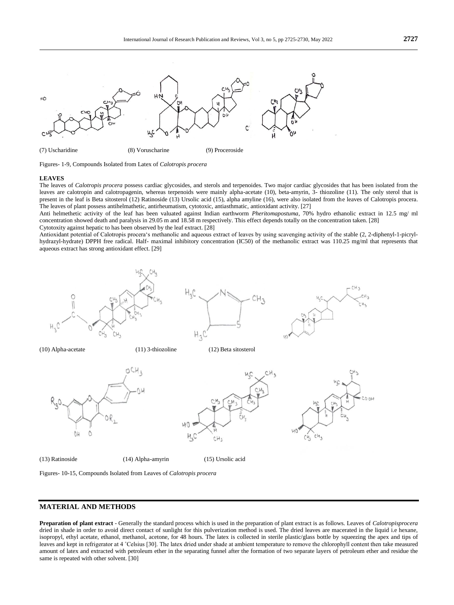

Figures- 1-9, Compounds Isolated from Latex of *Calotropis procera*

#### **LEAVES**

The leaves of *Calotropis procera* possess cardiac glycosides, and sterols and terpenoides. Two major cardiac glycosides that has been isolated from the leaves are calotropin and calotropagenin, whereas terpenoids were mainly alpha-acetate (10), beta-amyrin, 3- thiozoline (11). The only sterol that is present in the leaf is Beta sitosterol (12) Ratinoside (13) Ursolic acid (15), alpha amyline (16), were also isolated from the leaves of Calotropis procera. The leaves of plant possess antihelmathetic, antirheumatism, cytotoxic, antiasthmatic, antioxidant activity. [27]

Anti helmethetic activity of the leaf has been valuated against Indian earthworm *Pheritomapostuma*, 70% hydro ethanolic extract in 12.5 mg/ ml concentration showed death and paralysis in 29.05 m and 18.58 m respectively. This effect depends totally on the concentration taken. [28] Cytotoxity against hepatic to has been observed by the leaf extract. [28]

Antioxidant potential of Calotropis procera's methanolic and aqueous extract of leaves by using scavenging activity of the stable (2, 2-diphenyl-1-picrylhydrazyl-hydrate) DPPH free radical. Half- maximal inhibitory concentration (IC50) of the methanolic extract was 110.25 mg/ml that represents that aqueous extract has strong antioxidant effect. [29]





## **MATERIAL AND METHODS**

**Preparation of plant extract** - Generally the standard process which is used in the preparation of plant extract is as follows. Leaves of *Calotropisprocera*  dried in shade in order to avoid direct contact of sunlight for this pulverization method is used. The dried leaves are macerated in the liquid i.e hexane, isopropyl, ethyl acetate, ethanol, methanol, acetone, for 48 hours. The latex is collected in sterile plastic/glass bottle by squeezing the apex and tips of leaves and kept in refrigerator at 4 ˚Celsius [30]. The latex dried under shade at ambient temperature to remove the chlorophyll content then take measured amount of latex and extracted with petroleum ether in the separating funnel after the formation of two separate layers of petroleum ether and residue the same is repeated with other solvent. [30]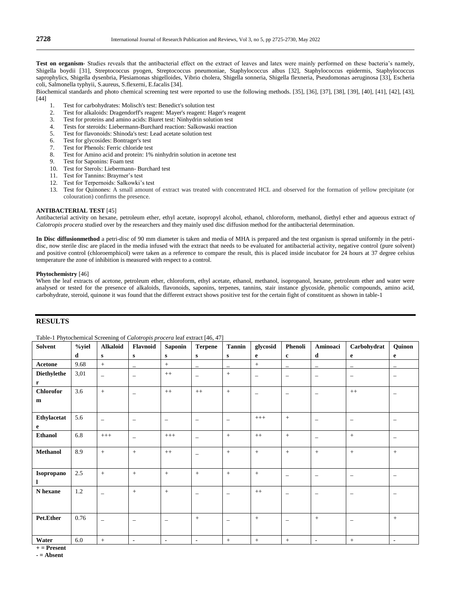Biochemical standards and photo chemical screening test were reported to use the following methods. [35], [36], [37], [38], [39], [40], [41], [42], [43], [44]

- 1. Test for carbohydrates: Molisch's test: Benedict's solution test
- 2. Test for alkaloids: Dragendorff's reagent: Mayer's reagent: Hager's reagent
- 3. Test for proteins and amino acids: Biuret test: Ninhydrin solution test
- 4. Tests for steroids: Liebermann-Burchard reaction: Salkowaski reaction<br>5. Test for flavonoids: Shinoda's test: Lead acetate solution test
- 5. Test for flavonoids: Shinoda's test: Lead acetate solution test
- 6. Test for glycosides: Bontrager's test
- 7. Test for Phenols: Ferric chloride test
- 8. Test for Amino acid and protein: 1% ninhydrin solution in acetone test
- 9. Test for Saponins: Foam test
- 10. Test for Sterols: Liebermann- Burchard test
- 11. Test for Tannins: Braymer's test
- 12. Test for Terpernoids: Salkowki's test
- 13. Test for Quinones: A small amount of extract was treated with concentrated HCL and observed for the formation of yellow precipitate (or colouration) confirms the presence.

#### **ANTIBACTERIAL TEST** [45]

Antibacterial activity on hexane, petroleum ether, ethyl acetate, isopropyl alcohol, ethanol, chloroform, methanol, diethyl ether and aqueous extract o*f Calotropis procera* studied over by the researchers and they mainly used disc diffusion method for the antibacterial determination.

**In Disc diffusionmethod** a petri-disc of 90 mm diameter is taken and media of MHA is prepared and the test organism is spread uniformly in the petridisc, now sterile disc are placed in the media infused with the extract that needs to be evaluated for antibacterial activity, negative control (pure solvent) and positive control (chloroemphicol) were taken as a reference to compare the result, this is placed inside incubator for 24 hours at 37 degree celsius temperature the zone of inhibition is measured with respect to a control.

#### **Phytochemistry** [46]

When the leaf extracts of acetone, petroleum ether, chloroform, ethyl acetate, ethanol, methanol, isopropanol, hexane, petroleum ether and water were analysed or tested for the presence of alkaloids, flavonoids, saponins, terpenes, tannins, stair instance glycoside, phenolic compounds, amino acid, carbohydrate, steroid, quinone it was found that the different extract shows positive test for the certain fight of constituent as shown in table-1

## **RESULTS**

| <b>Solvent</b>                   | %yiel   | <b>Alkaloid</b>          | Flavnoid                 | <b>Saponin</b>           | ${\bf Terpene}$          | <b>Tannin</b>            | glycosid                 | Phenoli                  | Aminoaci                 | Carbohydrat              | Quinon                   |
|----------------------------------|---------|--------------------------|--------------------------|--------------------------|--------------------------|--------------------------|--------------------------|--------------------------|--------------------------|--------------------------|--------------------------|
|                                  | d       | ${\bf S}$                | ${\bf s}$                | $\mathbf{s}$             | $\mathbf{s}$             | $\mathbf{s}$             | $\mathbf e$              | $\mathbf{c}$             | d                        | $\mathbf{e}$             | $\mathbf{e}$             |
| <b>Acetone</b>                   | 9.68    | $+$                      | $\overline{\phantom{0}}$ | $\boldsymbol{+}$         | $\overline{\phantom{0}}$ | $\overline{\phantom{0}}$ | $+$                      | $\overline{\phantom{0}}$ | $\overline{\phantom{0}}$ | $\overline{\phantom{m}}$ | $\overline{\phantom{m}}$ |
| <b>Diethylethe</b>               | 3,01    | $\overline{\phantom{0}}$ | $\qquad \qquad -$        | $++$                     | $\overline{\phantom{m}}$ | $+$                      | $\overline{\phantom{0}}$ | $\overline{\phantom{m}}$ | $\overline{\phantom{m}}$ | $\overline{\phantom{m}}$ | $\overline{\phantom{m}}$ |
| $\mathbf{r}$<br><b>Chlorofor</b> | 3.6     | $+$                      |                          | $^{++}$                  | $^{++}$                  | $+$                      |                          |                          |                          |                          |                          |
| m                                |         |                          | $\overline{\phantom{0}}$ |                          |                          |                          | $\overline{\phantom{0}}$ |                          | $\overline{\phantom{0}}$ | $++$                     | $\overline{\phantom{m}}$ |
| Ethylacetat<br>$\mathbf{e}$      | 5.6     | $\overline{\phantom{0}}$ | $\overline{\phantom{0}}$ | $\overline{\phantom{a}}$ | $\overline{\phantom{a}}$ | $\overline{\phantom{a}}$ | $^{+++}$                 | $+$                      | $\overline{\phantom{0}}$ | $\overline{\phantom{m}}$ | $\qquad \qquad -$        |
| <b>Ethanol</b>                   | 6.8     | $^{+++}$                 | $\overline{\phantom{0}}$ | $^{+++}$                 | $\overline{\phantom{m}}$ | $+$                      | $++$                     | $+$                      | $\overline{\phantom{0}}$ | $\, +$                   | $\overline{\phantom{m}}$ |
| <b>Methanol</b>                  | 8.9     | $+$                      | $+$                      | $++$                     | $\qquad \qquad -$        | $+$                      | $+$                      | $+$                      | $+$                      | $\, +$                   | $+$                      |
| Isopropano<br>1                  | 2.5     | $+$                      | $+$                      | $+$                      | $\, +$                   | $+$                      | $+$                      | $\overline{\phantom{0}}$ | $\overline{\phantom{0}}$ | $\overline{\phantom{m}}$ | $\overline{\phantom{m}}$ |
| N hexane                         | $1.2\,$ | $\overline{\phantom{0}}$ | $+$                      | $+$                      | $\overline{\phantom{m}}$ | $\overline{\phantom{0}}$ | $++$                     |                          | $\overline{\phantom{m}}$ | $\overline{\phantom{m}}$ | $\qquad \qquad -$        |
| Pet.Ether                        | 0.76    | $\overline{\phantom{0}}$ | $\overline{\phantom{0}}$ | $\overline{\phantom{a}}$ | $+$                      | $\qquad \qquad -$        | $+$                      |                          | $\boldsymbol{+}$         | $\overline{\phantom{m}}$ | $+$                      |
| Water                            | 6.0     | $+$                      | $\overline{a}$           | $\overline{\phantom{a}}$ | $\overline{\phantom{a}}$ | $+$                      | $+$                      | $+$                      | ٠                        | $+$                      |                          |

Table-1 Phytochemical Screening of *Calotropis procera* leaf extract [46, 47]

**+ = Present**

**- = Absent**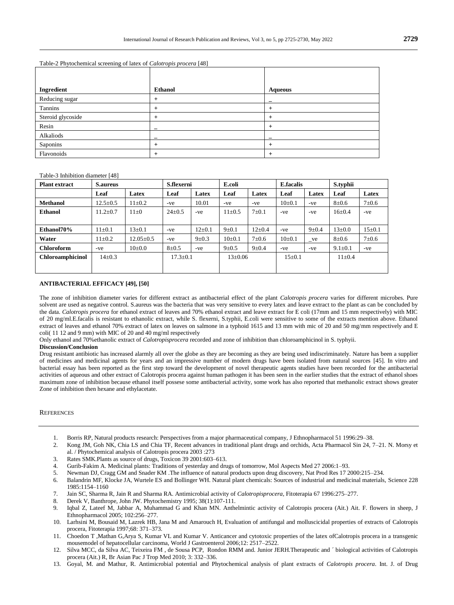| Ingredient        | <b>Ethanol</b>           | <b>Aqueous</b> |
|-------------------|--------------------------|----------------|
| Reducing sugar    |                          |                |
| Tannins           |                          | $\pm$          |
| Steroid glycoside |                          | $\pm$          |
| Resin             |                          |                |
| Alkaliods         | $\overline{\phantom{a}}$ |                |
| Saponins          |                          |                |
| Flavonoids        |                          | $\pm$          |

#### Table-2 Phytochemical screening of latex of *Calotropis procera* [48]

#### Table-3 Inhibition diameter [48]

| <b>Plant extract</b>    | <b>S.aureus</b> |                 | S.flexerni     |             | E.coli        |              | <b>E.facalis</b> |              | S.typhii      |              |
|-------------------------|-----------------|-----------------|----------------|-------------|---------------|--------------|------------------|--------------|---------------|--------------|
|                         | Leaf            | Latex           | Leaf           | Latex       | Leaf          | Latex        | Leaf             | Latex        | Leaf          | Latex        |
| <b>Methanol</b>         | $12.5 \pm 0.5$  | $11 \pm 0.2$    | -ve            | 10.01       | -ve           | -ve          | $10\pm 0.1$      | $-ve$        | $8 \pm 0.6$   | $7\pm0.6$    |
| <b>Ethanol</b>          | $11.2 + 0.7$    | $11\pm0$        | $24 \pm 0.5$   | $-ve$       | $11 \pm 0.5$  | $7\pm0.1$    | -ve              | $-ve$        | $16 + 0.4$    | $-ve$        |
|                         |                 |                 |                |             |               |              |                  |              |               |              |
| Ethanol70%              | $11 \pm 0.1$    | $13 \pm 0.1$    | -ve            | $12\pm0.1$  | $9 \pm 0.1$   | $12{\pm}0.4$ | -ve              | $9 \pm 0.4$  | $13 \pm 0.0$  | $15 \pm 0.1$ |
| Water                   | $11 \pm 0.2$    | $12.05 \pm 0.5$ | -ve            | $9 \pm 0.3$ | $10\pm 0.1$   | $7\pm0.6$    | $10\pm 0.1$      | $_{\rm vee}$ | $8 + 0.6$     | $7 + 0.6$    |
| <b>Chloroform</b>       | -ve             | $10\pm 0.0$     | $8 \pm 0.5$    | -ve         | $9 \pm 0.5$   | $9 \pm 0.4$  | -ve              | $-ve$        | $9.1 \pm 0.1$ | -ve          |
| <b>Chloroamphicinol</b> | $14\pm0.3$      |                 | $17.3 \pm 0.1$ |             | $13 \pm 0.06$ |              | $15 \pm 0.1$     |              | $11 \pm 0.4$  |              |
|                         |                 |                 |                |             |               |              |                  |              |               |              |

#### **ANTIBACTERIAL EFFICACY [49], [50]**

The zone of inhibition diameter varies for different extract as antibacterial effect of the plant *Calotropis procera* varies for different microbes. Pure solvent are used as negative control. S.aureus was the bacteria that was very sensitive to every latex and leave extract to the plant as can be concluded by the data. *Calotropis procera* for ethanol extract of leaves and 70% ethanol extract and leave extract for E coli (17mm and 15 mm respectively) with MIC of 20 mg/ml.E.facalis is resistant to ethanolic extract, while S. flexerni, S.typhii, E.coli were sensitive to some of the extracts mention above. Ethanol extract of leaves and ethanol 70% extract of latex on leaves on salmone in a typhoid 1615 and 13 mm with mic of 20 and 50 mg/mm respectively and E coli( 11 12 and 9 mm) with MIC of 20 and 40 mg/ml respectively

Only ethanol and 70%ethanolic extract of *Calotropisprocera* recorded and zone of inhibition than chloroamphicinol in S. typhyii.

#### **Discussion/Conclusion**

Drug resistant antibiotic has increased alarmly all over the globe as they are becoming as they are being used indiscriminately. Nature has been a supplier of medicines and medicinal agents for years and an impressive number of modern drugs have been isolated from natural sources [45]. In vitro and bacterial essay has been reported as the first step toward the development of novel therapeutic agents studies have been recorded for the antibacterial activities of aqueous and other extract of Calotropis procera against human pathogen it has been seen in the earlier studies that the extract of ethanol shoes maximum zone of inhibition because ethanol itself possese some antibacterial activity, some work has also reported that methanolic extract shows greater Zone of inhibition then hexane and ethylacetate.

#### **REFERENCES**

- 1. Borris RP, Natural products research: Perspectives from a major pharmaceutical company, J Ethnopharmacol 51 1996:29–38.
- 2. Kong JM, Goh NK, Chia LS and Chia TF, Recent advances in traditional plant drugs and orchids, Acta Pharmacol Sin 24, 7–21. N. Morsy et al. / Phytochemical analysis of Calotropis procera 2003 :273
- 3. Rates SMK.Plants as source of drugs, Toxicon 39 2001:603–613.
- 4. Gurib-Fakim A. Medicinal plants: Traditions of yesterday and drugs of tomorrow, Mol Aspects Med 27 2006:1–93.
- 5. Newman DJ, Cragg GM and Snader KM .The influence of natural products upon drug discovery, Nat Prod Res 17 2000:215–234.
- 6. Balandrin MF, Klocke JA, Wurtele ES and Bollinger WH. Natural plant chemicals: Sources of industrial and medicinal materials, Science 228 1985:1154–1160
- 7. Jain SC, Sharma R, Jain R and Sharma RA. Antimicrobial activity of *Calotropisprocera*, Fitoterapia 67 1996:275–277.
- 8. Derek V, Banthrope, John JW. Phytochemistry 1995; 38(1):107-111.
- 9. Iqbal Z, Lateef M, Jabbar A, Muhammad G and Khan MN. Anthelmintic activity of Calotropis procera (Ait.) Ait. F. flowers in sheep, J Ethnopharmacol 2005; 102:256–277.
- 10. Larhsini M, Bousaid M, Lazrek HB, Jana M and Amarouch H, Evaluation of antifungal and molluscicidal properties of extracts of Calotropis procera, Fitoterapia 1997;68: 371–373.
- 11. Choedon T ,Mathan G,Arya S, Kumar VL and Kumar V. Anticancer and cytotoxic properties of the latex ofCalotropis procera in a transgenic mousemodel of hepatocellular carcinoma, World J Gastroenterol 2006;12: 2517–2522.
- 12. Silva MCC, da Silva AC, Teixeira FM , de Sousa PCP, Rondon RMM and. Junior JERH.Therapeutic and ´ biological activities of Calotropis procera (Ait.) R, Br Asian Pac J Trop Med 2010; 3: 332–336.
- 13. Goyal, M. and Mathur, R. Antimicrobial potential and Phytochemical analysis of plant extracts of *Calotropis procera*. Int. J. of Drug